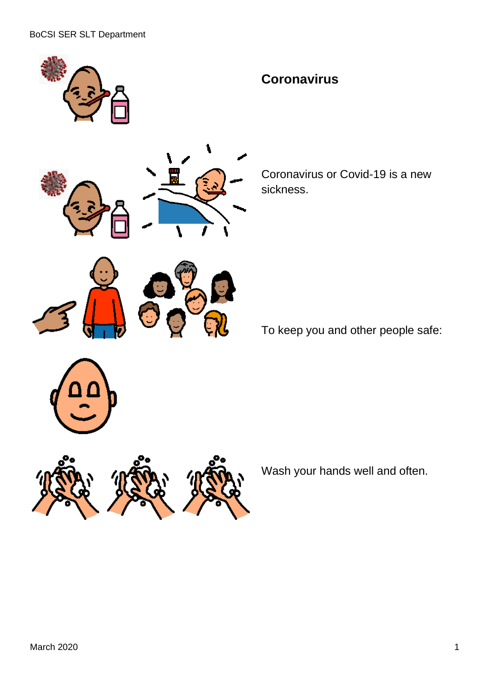

Coronavirus or Covid-19 is a new sickness.

To keep you and other people safe:



Wash your hands well and often.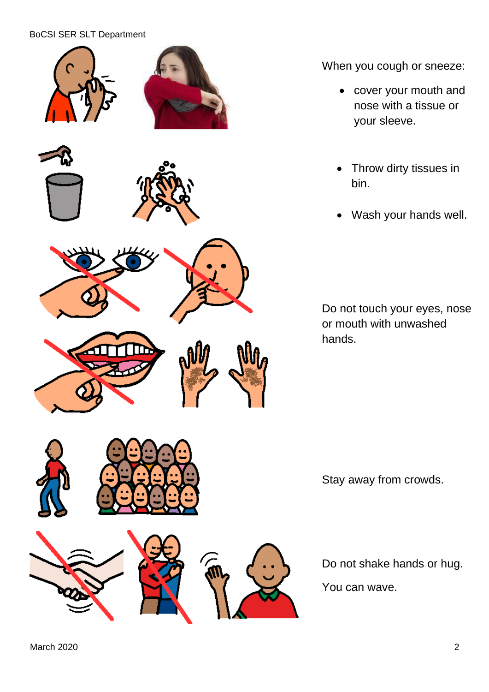## BoCSI SER SLT Department



When you cough or sneeze:

- cover your mouth and nose with a tissue or your sleeve.
- Throw dirty tissues in bin.
- Wash your hands well.

Do not touch your eyes, nose or mouth with unwashed hands.

Stay away from crowds.

Do not shake hands or hug.

You can wave.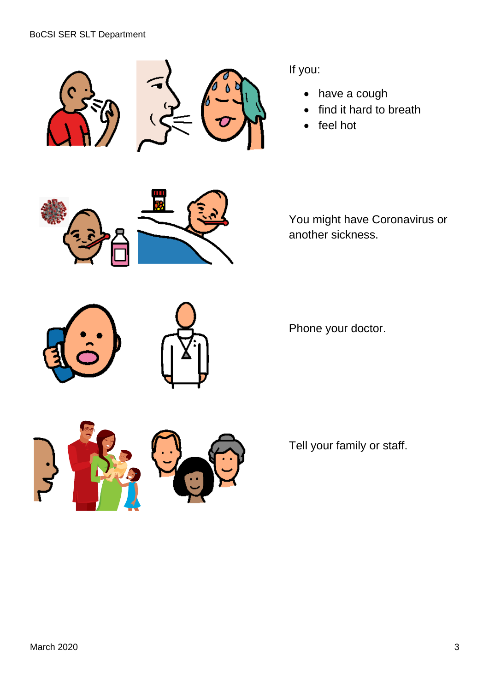



If you:

- have a cough
- find it hard to breath
- feel hot



You might have Coronavirus or another sickness.

Phone your doctor.



Tell your family or staff.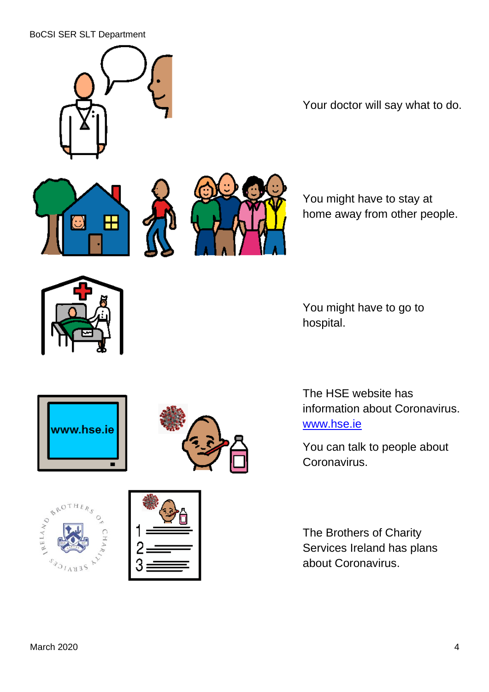## BoCSI SER SLT Department



Your doctor will say what to do.





You might have to stay at home away from other people.



You might have to go to hospital.





The HSE website has information about Coronavirus. [www.hse.ie](http://www.hse.ie/)

You can talk to people about Coronavirus.

The Brothers of Charity Services Ireland has plans about Coronavirus.